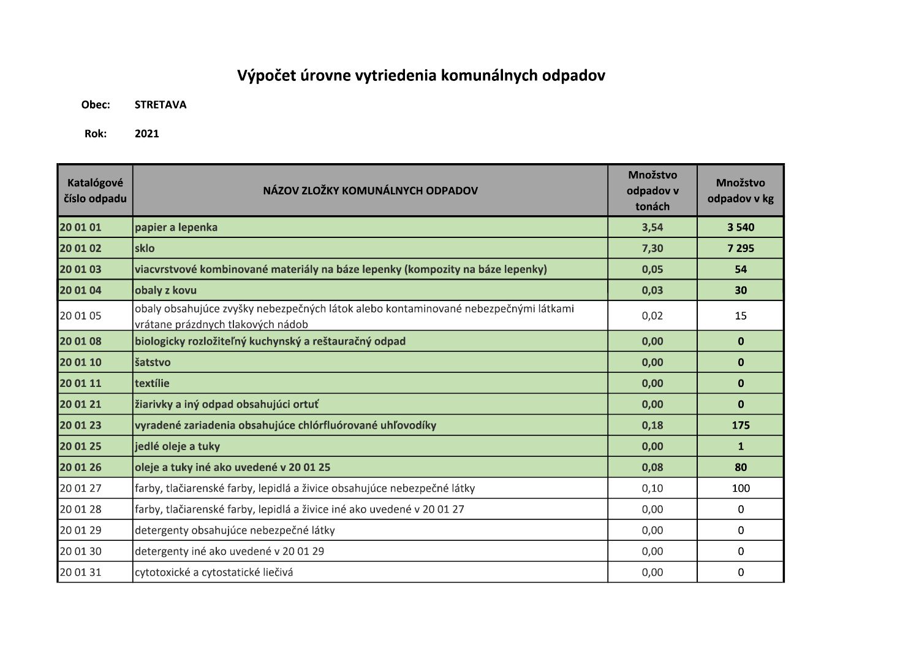## Výpočet úrovne vytriedenia komunálnych odpadov

Obec: **STRETAVA** 

Rok: 2021

| Katalógové<br>číslo odpadu | NÁZOV ZLOŽKY KOMUNÁLNYCH ODPADOV                                                                                         | <b>Množstvo</b><br>odpadov v<br>tonách | <b>Množstvo</b><br>odpadov v kg |
|----------------------------|--------------------------------------------------------------------------------------------------------------------------|----------------------------------------|---------------------------------|
| 20 01 01                   | papier a lepenka                                                                                                         | 3,54                                   | 3 5 4 0                         |
| 20 01 02                   | sklo                                                                                                                     | 7,30                                   | 7 2 9 5                         |
| 20 01 03                   | viacyrstvové kombinované materiály na báze lepenky (kompozity na báze lepenky)                                           | 0,05                                   | 54                              |
| 20 01 04                   | obaly z kovu                                                                                                             | 0,03                                   | 30                              |
| 20 01 05                   | obaly obsahujúce zvyšky nebezpečných látok alebo kontaminované nebezpečnými látkami<br>vrátane prázdnych tlakových nádob | 0,02                                   | 15                              |
| 20 01 08                   | biologicky rozložiteľný kuchynský a reštauračný odpad                                                                    | 0,00                                   | 0                               |
| 20 01 10                   | šatstvo                                                                                                                  | 0,00                                   | $\bf{0}$                        |
| 20 01 11                   | textílie                                                                                                                 | 0,00                                   | $\bf{0}$                        |
| 20 01 21                   | žiarivky a iný odpad obsahujúci ortuť                                                                                    | 0,00                                   | $\mathbf 0$                     |
| 20 01 23                   | vyradené zariadenia obsahujúce chlórfluórované uhľovodíky                                                                | 0,18                                   | 175                             |
| 20 01 25                   | jedlé oleje a tuky                                                                                                       | 0,00                                   | 1                               |
| 20 01 26                   | oleje a tuky iné ako uvedené v 20 01 25                                                                                  | 0,08                                   | 80                              |
| 20 01 27                   | farby, tlačiarenské farby, lepidlá a živice obsahujúce nebezpečné látky                                                  | 0,10                                   | 100                             |
| 20 01 28                   | farby, tlačiarenské farby, lepidlá a živice iné ako uvedené v 20 01 27                                                   | 0,00                                   | 0                               |
| 20 01 29                   | detergenty obsahujúce nebezpečné látky                                                                                   | 0,00                                   | 0                               |
| 20 01 30                   | detergenty iné ako uvedené v 20 01 29                                                                                    | 0,00                                   | 0                               |
| 20 01 31                   | cytotoxické a cytostatické liečivá                                                                                       | 0,00                                   | 0                               |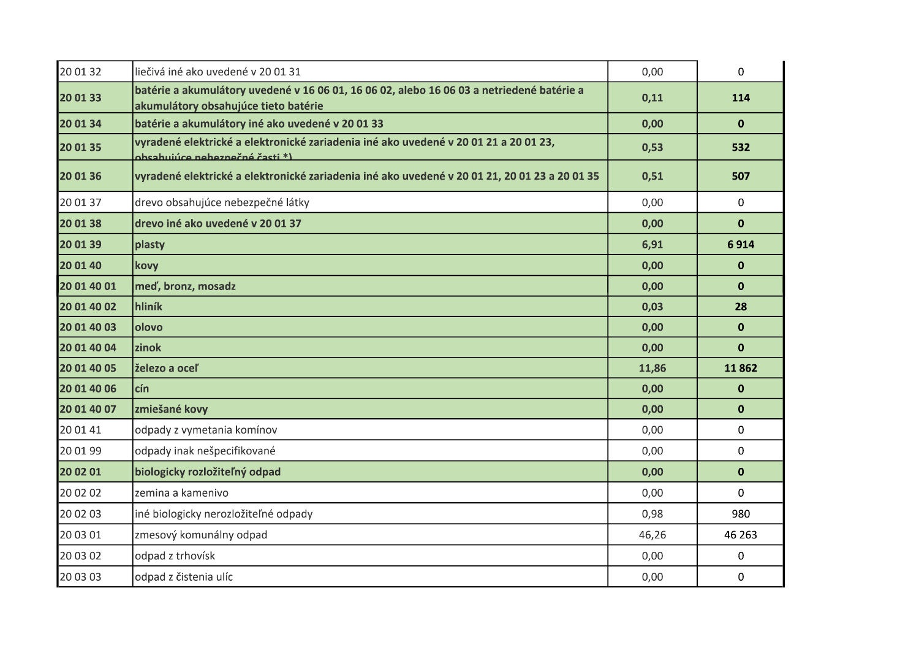| 20 01 32    | liečivá iné ako uvedené v 20 01 31                                                                                                | 0,00  | $\Omega$     |
|-------------|-----------------------------------------------------------------------------------------------------------------------------------|-------|--------------|
| 20 01 33    | batérie a akumulátory uvedené v 16 06 01, 16 06 02, alebo 16 06 03 a netriedené batérie a<br>akumulátory obsahujúce tieto batérie | 0,11  | 114          |
| 20 01 34    | batérie a akumulátory iné ako uvedené v 20 01 33                                                                                  | 0,00  | $\mathbf{0}$ |
| 20 01 35    | vyradené elektrické a elektronické zariadenia iné ako uvedené v 20 01 21 a 20 01 23,<br>ohsahujúce neheznečné časti *)            | 0,53  | 532          |
| 20 01 36    | vyradené elektrické a elektronické zariadenia iné ako uvedené v 20 01 21, 20 01 23 a 20 01 35                                     | 0,51  | 507          |
| 20 01 37    | drevo obsahujúce nebezpečné látky                                                                                                 | 0,00  | 0            |
| 20 01 38    | drevo iné ako uvedené v 20 01 37                                                                                                  | 0,00  | $\mathbf 0$  |
| 20 01 39    | plasty                                                                                                                            | 6,91  | 6914         |
| 20 01 40    | kovy                                                                                                                              | 0,00  | $\pmb{0}$    |
| 20 01 40 01 | med, bronz, mosadz                                                                                                                | 0,00  | $\mathbf 0$  |
| 20 01 40 02 | hliník                                                                                                                            | 0,03  | 28           |
| 20 01 40 03 | olovo                                                                                                                             | 0,00  | $\mathbf{0}$ |
| 20 01 40 04 | zinok                                                                                                                             | 0,00  | $\mathbf 0$  |
| 20 01 40 05 | železo a oceľ                                                                                                                     | 11,86 | 11862        |
| 20 01 40 06 | cín                                                                                                                               | 0,00  | $\mathbf 0$  |
| 20 01 40 07 | zmiešané kovy                                                                                                                     | 0,00  | $\bf{0}$     |
| 20 01 41    | odpady z vymetania komínov                                                                                                        | 0,00  | 0            |
| 20 01 99    | odpady inak nešpecifikované                                                                                                       | 0,00  | 0            |
| 20 02 01    | biologicky rozložiteľný odpad                                                                                                     | 0,00  | $\mathbf 0$  |
| 20 02 02    | zemina a kamenivo                                                                                                                 | 0,00  | 0            |
| 20 02 03    | iné biologicky nerozložiteľné odpady                                                                                              | 0,98  | 980          |
| 20 03 01    | zmesový komunálny odpad                                                                                                           | 46,26 | 46 263       |
| 20 03 02    | odpad z trhovísk                                                                                                                  | 0,00  | 0            |
| 20 03 03    | odpad z čistenia ulíc                                                                                                             | 0,00  | 0            |